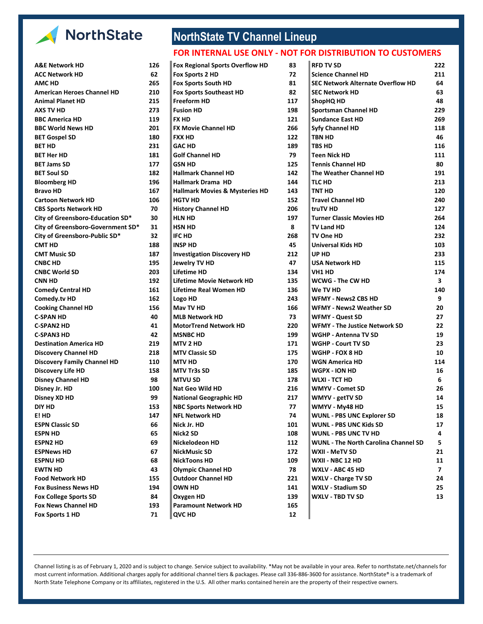

| A&E NETWOLK HD                     | TYD | Fox Regional Sports Overflow HD           | ō3  |
|------------------------------------|-----|-------------------------------------------|-----|
| <b>ACC Network HD</b>              | 62  | Fox Sports 2 HD                           | 72  |
| <b>AMC HD</b>                      | 265 | Fox Sports South HD                       | 81  |
| <b>American Heroes Channel HD</b>  | 210 | <b>Fox Sports Southeast HD</b>            | 82  |
| <b>Animal Planet HD</b>            | 215 | <b>Freeform HD</b>                        | 117 |
| <b>AXS TV HD</b>                   | 273 | <b>Fusion HD</b>                          | 198 |
| <b>BBC America HD</b>              | 119 | <b>FX HD</b>                              | 121 |
| <b>BBC World News HD</b>           | 201 | <b>FX Movie Channel HD</b>                | 266 |
| <b>BET Gospel SD</b>               | 180 | <b>FXX HD</b>                             | 122 |
| <b>BET HD</b>                      | 231 | <b>GAC HD</b>                             | 189 |
| <b>BET Her HD</b>                  | 181 | <b>Golf Channel HD</b>                    | 79  |
| <b>BET Jams SD</b>                 | 177 | <b>GSN HD</b>                             | 125 |
| <b>BET Soul SD</b>                 | 182 | <b>Hallmark Channel HD</b>                | 142 |
| <b>Bloomberg HD</b>                | 196 | <b>Hallmark Drama HD</b>                  | 144 |
| <b>Bravo HD</b>                    | 167 | <b>Hallmark Movies &amp; Mysteries HD</b> | 143 |
| <b>Cartoon Network HD</b>          | 106 | <b>HGTV HD</b>                            | 152 |
| <b>CBS Sports Network HD</b>       | 70  | <b>History Channel HD</b>                 | 206 |
| City of Greensboro-Education SD*   | 30  | <b>HLN HD</b>                             | 197 |
| City of Greensboro-Government SD*  | 31  | <b>HSN HD</b>                             | 8   |
| City of Greensboro-Public SD*      | 32  | <b>IFC HD</b>                             | 268 |
| <b>CMT HD</b>                      | 188 | <b>INSP HD</b>                            | 45  |
| <b>CMT Music SD</b>                | 187 | <b>Investigation Discovery HD</b>         | 212 |
| <b>CNBC HD</b>                     | 195 | Jewelry TV HD                             | 47  |
| <b>CNBC World SD</b>               | 203 | Lifetime HD                               | 134 |
| <b>CNN HD</b>                      | 192 | <b>Lifetime Movie Network HD</b>          | 135 |
| <b>Comedy Central HD</b>           | 161 | Lifetime Real Women HD                    | 136 |
| Comedy.tv HD                       | 162 | Logo HD                                   | 243 |
| <b>Cooking Channel HD</b>          | 156 | May TV HD                                 | 166 |
| <b>C-SPAN HD</b>                   | 40  | <b>MLB Network HD</b>                     | 73  |
| <b>C-SPAN2 HD</b>                  | 41  | <b>MotorTrend Network HD</b>              | 220 |
| <b>C-SPAN3 HD</b>                  | 42  | <b>MSNBC HD</b>                           | 199 |
| <b>Destination America HD</b>      | 219 | MTV 2 HD                                  | 171 |
| <b>Discovery Channel HD</b>        | 218 | <b>MTV Classic SD</b>                     | 175 |
| <b>Discovery Family Channel HD</b> | 110 | <b>MTV HD</b>                             | 170 |
| <b>Discovery Life HD</b>           | 158 | <b>MTV Tr3s SD</b>                        | 185 |
| <b>Disney Channel HD</b>           | 98  | <b>MTVU SD</b>                            | 178 |
| Disney Jr. HD                      | 100 | <b>Nat Geo Wild HD</b>                    | 216 |
| Disney XD HD                       | 99  | <b>National Geographic HD</b>             | 217 |
| <b>DIY HD</b>                      | 153 | <b>NBC Sports Network HD</b>              | 77  |
| E! HD                              | 147 | <b>NFL Network HD</b>                     | 74  |
| <b>ESPN Classic SD</b>             | 66  | Nick Jr. HD                               | 101 |
| <b>ESPN HD</b>                     | 65  | Nick2 SD                                  | 108 |
| <b>ESPN2 HD</b>                    | 69  | Nickelodeon HD                            | 112 |
| <b>ESPNews HD</b>                  | 67  | NickMusic SD                              | 172 |
| <b>ESPNU HD</b>                    | 68  | <b>NickToons HD</b>                       | 109 |
| <b>EWTN HD</b>                     | 43  | <b>Olympic Channel HD</b>                 | 78  |
| <b>Food Network HD</b>             | 155 | <b>Outdoor Channel HD</b>                 | 221 |
| <b>Fox Business News HD</b>        | 194 | OWN HD                                    | 141 |
| <b>Fox College Sports SD</b>       | 84  | Oxygen HD                                 | 139 |
| <b>Fox News Channel HD</b>         | 193 | <b>Paramount Network HD</b>               | 165 |
| Fox Sports 1 HD                    | 71  | <b>QVC HD</b>                             | 12  |
|                                    |     |                                           |     |

## **NorthState TV Channel Lineup**

## **FOR INTERNAL USE ONLY - NOT FOR DISTRIBUTION TO CUSTOMERS**

| <b>Fox Regional Sports Overflow HD</b>    |
|-------------------------------------------|
| Fox Sports 2 HD                           |
| <b>Fox Sports South HD</b>                |
| <b>Fox Sports Southeast HD</b>            |
| Freeform HD                               |
| <b>Fusion HD</b>                          |
| <b>FX HD</b>                              |
| <b>FX Movie Channel HD</b>                |
| <b>FXX HD</b>                             |
| <b>GAC HD</b>                             |
| <b>Golf Channel HD</b>                    |
| GSN HD                                    |
| <b>Hallmark Channel HD</b>                |
| Hallmark Drama HD                         |
| <b>Hallmark Movies &amp; Mysteries HD</b> |
| HGTV HD                                   |
| <b>History Channel HD</b>                 |
| HLN HD                                    |
| <b>HSN HD</b>                             |
| <b>IFC HD</b>                             |
| <b>INSP HD</b>                            |
| <b>Investigation Discovery HD</b>         |
| Jewelry TV HD                             |
| <b>Lifetime HD</b>                        |
| Lifetime Movie Network HD                 |
| <b>Lifetime Real Women HD</b>             |
| Logo HD                                   |
| May TV HD                                 |
| <b>MLB Network HD</b>                     |
| <b>MotorTrend Network HD</b>              |
| <b>MSNBC HD</b>                           |
| <b>MTV 2 HD</b>                           |
| <b>MTV Classic SD</b>                     |
| <b>MTV HD</b>                             |
| <b>MTV Tr3s SD</b>                        |
| <b>MTVU SD</b>                            |
| Nat Geo Wild HD                           |
| <b>National Geographic HD</b>             |
| <b>NBC Sports Network HD</b>              |
| <b>NFL Network HD</b>                     |
| Nick Jr. HD                               |
| Nick <sub>2</sub> SD                      |
| Nickelodeon HD                            |
| <b>NickMusic SD</b>                       |
| <b>NickToons HD</b>                       |
| <b>Olympic Channel HD</b>                 |
| <b>Outdoor Channel HD</b>                 |
| <b>OWN HD</b>                             |
| Oxygen HD                                 |
| <b>Paramount Network HD</b>               |
| QVC HD                                    |
|                                           |

| A&E Network HD                     | 126 | <b>Fox Regional Sports Overflow HD</b>    | 83  | <b>RFD TV SD</b>                            | 222            |
|------------------------------------|-----|-------------------------------------------|-----|---------------------------------------------|----------------|
| ACC Network HD                     | 62  | Fox Sports 2 HD                           | 72  | <b>Science Channel HD</b>                   | 211            |
| AMC HD                             | 265 | <b>Fox Sports South HD</b>                | 81  | <b>SEC Network Alternate Overflow HD</b>    | 64             |
| American Heroes Channel HD         | 210 | <b>Fox Sports Southeast HD</b>            | 82  | <b>SEC Network HD</b>                       | 63             |
| Animal Planet HD                   | 215 | Freeform HD                               | 117 | <b>ShopHQ HD</b>                            | 48             |
| AXS TV HD                          | 273 | <b>Fusion HD</b>                          | 198 | <b>Sportsman Channel HD</b>                 | 229            |
| <b>BBC America HD</b>              | 119 | <b>FX HD</b>                              | 121 | <b>Sundance East HD</b>                     | 269            |
| <b>BBC World News HD</b>           | 201 | <b>FX Movie Channel HD</b>                | 266 | <b>Syfy Channel HD</b>                      | 118            |
| <b>BET Gospel SD</b>               | 180 | <b>FXX HD</b>                             | 122 | <b>TBN HD</b>                               | 46             |
| BET HD                             | 231 | <b>GAC HD</b>                             | 189 | <b>TBS HD</b>                               | 116            |
| BET Her HD                         | 181 | <b>Golf Channel HD</b>                    | 79  | <b>Teen Nick HD</b>                         | 111            |
| <b>BET Jams SD</b>                 | 177 | GSN HD                                    | 125 | <b>Tennis Channel HD</b>                    | 80             |
| <b>BET Soul SD</b>                 | 182 | <b>Hallmark Channel HD</b>                | 142 | The Weather Channel HD                      | 191            |
| <b>Bloomberg HD</b>                | 196 | Hallmark Drama HD                         | 144 | <b>TLC HD</b>                               | 213            |
| Bravo HD                           | 167 | <b>Hallmark Movies &amp; Mysteries HD</b> | 143 | <b>TNT HD</b>                               | 120            |
| Cartoon Network HD                 | 106 | <b>HGTV HD</b>                            | 152 | <b>Travel Channel HD</b>                    | 240            |
| <b>CBS Sports Network HD</b>       | 70  | <b>History Channel HD</b>                 | 206 | truTV HD                                    | 127            |
| City of Greensboro-Education SD*   | 30  | <b>HLN HD</b>                             | 197 | <b>Turner Classic Movies HD</b>             | 264            |
| City of Greensboro-Government SD*  | 31  | HSN HD                                    | 8   | TV Land HD                                  | 124            |
| City of Greensboro-Public SD*      | 32  | IFC HD                                    | 268 | TV One HD                                   | 232            |
| CMT HD                             | 188 | <b>INSP HD</b>                            | 45  | <b>Universal Kids HD</b>                    | 103            |
| CMT Music SD                       | 187 | <b>Investigation Discovery HD</b>         | 212 | UP HD                                       | 233            |
| CNBC HD                            | 195 | Jewelry TV HD                             | 47  | <b>USA Network HD</b>                       | 115            |
| <b>CNBC World SD</b>               | 203 | Lifetime HD                               | 134 | VH1 HD                                      | 174            |
| CNN HD                             | 192 | Lifetime Movie Network HD                 | 135 | WCWG - The CW HD                            | 3              |
| <b>Comedy Central HD</b>           | 161 | Lifetime Real Women HD                    | 136 | We TV HD                                    | 140            |
| Comedy.tv HD                       | 162 | Logo HD                                   | 243 | <b>WFMY - News2 CBS HD</b>                  | 9              |
| <b>Cooking Channel HD</b>          | 156 | Mav TV HD                                 | 166 | <b>WFMY - News2 Weather SD</b>              | 20             |
| C-SPAN HD                          | 40  | <b>MLB Network HD</b>                     | 73  | <b>WFMY - Quest SD</b>                      | 27             |
| C-SPAN2 HD                         | 41  | MotorTrend Network HD                     | 220 | <b>WFMY - The Justice Network SD</b>        | 22             |
| <b>C-SPAN3 HD</b>                  | 42  | <b>MSNBC HD</b>                           | 199 | <b>WGHP - Antenna TV SD</b>                 | 19             |
| <b>Destination America HD</b>      | 219 | MTV 2 HD                                  | 171 | <b>WGHP - Court TV SD</b>                   | 23             |
| <b>Discovery Channel HD</b>        | 218 | <b>MTV Classic SD</b>                     | 175 | WGHP - FOX 8 HD                             | 10             |
| <b>Discovery Family Channel HD</b> | 110 | <b>MTV HD</b>                             | 170 | WGN America HD                              | 114            |
| <b>Discovery Life HD</b>           | 158 | MTV Tr3s SD                               | 185 | <b>WGPX - ION HD</b>                        | 16             |
| <b>Disney Channel HD</b>           | 98  | <b>MTVU SD</b>                            | 178 | <b>WLXI - TCT HD</b>                        | 6              |
| Disney Jr. HD                      | 100 | Nat Geo Wild HD                           | 216 | <b>WMYV - Comet SD</b>                      | 26             |
| Disney XD HD                       | 99  | <b>National Geographic HD</b>             | 217 | WMYV - getTV SD                             | 14             |
| DIY HD                             | 153 | <b>NBC Sports Network HD</b>              | 77  | WMYV - My48 HD                              | 15             |
| E! HD                              | 147 | <b>NFL Network HD</b>                     | 74  | <b>WUNL - PBS UNC Explorer SD</b>           | 18             |
| ESPN Classic SD                    | 66  | Nick Jr. HD                               | 101 | <b>WUNL - PBS UNC Kids SD</b>               | 17             |
| ESPN HD                            | 65  | Nick2 SD                                  | 108 | <b>WUNL - PBS UNC TV HD</b>                 | 4              |
| ESPN2 HD                           | 69  | Nickelodeon HD                            | 112 | <b>WUNL - The North Carolina Channel SD</b> | 5              |
| ESPNews HD                         | 67  | NickMusic SD                              | 172 | WXII - MeTV SD                              | 21             |
| ESPNU HD                           | 68  | NickToons HD                              | 109 | WXII - NBC 12 HD                            | 11             |
| <b>EWTN HD</b>                     | 43  | <b>Olympic Channel HD</b>                 | 78  | WXLV - ABC 45 HD                            | $\overline{7}$ |
| <b>Food Network HD</b>             | 155 | <b>Outdoor Channel HD</b>                 | 221 | <b>WXLV - Charge TV SD</b>                  | 24             |
| <b>Fox Business News HD</b>        | 194 | <b>OWN HD</b>                             | 141 | <b>WXLV - Stadium SD</b>                    | 25             |
| <b>Fox College Sports SD</b>       | 84  | Oxygen HD                                 | 139 | <b>WXLV - TBD TV SD</b>                     | 13             |
| <b>Cov Nouve Channel UD</b>        | 102 | <b>Doromount Notwork UD</b>               | 145 |                                             |                |

Channel listing is as of February 1, 2020 and is subject to change. Service subject to availability. \*May not be available in your area. Refer to northstate.net/channels for most current information. Additional charges apply for additional channel tiers & packages. Please call 336-886-3600 for assistance. NorthState® is a trademark of North State Telephone Company or its affiliates, registered in the U.S. All other marks contained herein are the property of their respective owners.